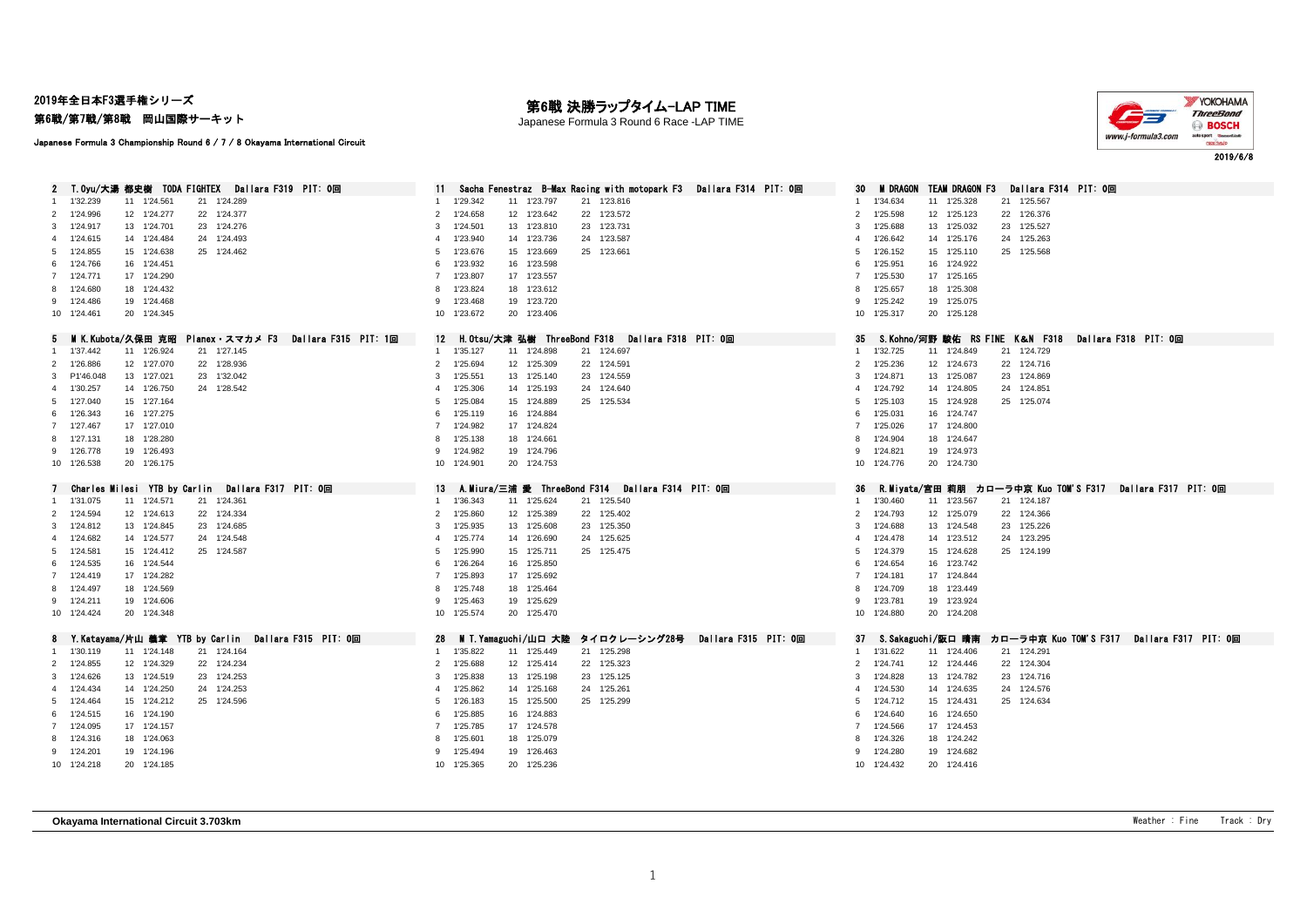2019年全日本F3選手権シリーズ

第6戦/第7戦/第8戦 岡山国際サーキット

## 第6戦 決勝ラップタイム-LAP TIME

Japanese Formula 3 Round 6 Race -LAP TIME



Japanese Formula 3 Championship Round 6 / 7 / 8 Okayama International Circuit

| T.Oyu/大湯 都史樹 TODA FIGHTEX Dallara F319 PIT: 0回                | - Sacha Fenestraz - B-Max Racing with motopark F3 - Dallara F314 - PIT: 0回<br>11. | <b>M</b> DRAGON<br><b>TEAM DRAGON F3</b><br>Dallara F314 PIT: 0回           |
|---------------------------------------------------------------|-----------------------------------------------------------------------------------|----------------------------------------------------------------------------|
| 11 1'24.561<br>21 1'24.289<br>1'32.239<br>1                   | 1'29.342<br>21 1'23.816<br>11 1'23.797                                            | 1'34.634<br>11 1'25.328<br>21 1'25.567<br>1.                               |
| 22 1'24.377<br>2 1'24.996<br>12 1'24.277                      | 1'24.658<br>12 1'23.642<br>22 1'23.572<br>$\overline{2}$                          | 12 1'25.123<br>22 1'26.376<br>$\overline{2}$<br>1'25.598                   |
| 23 1'24.276<br>3 1'24.917<br>13 1'24.701                      | 1'24.501<br>13 1'23.810<br>23 1'23.731<br>3                                       | 13 1'25.032<br>23 1'25.527<br>3<br>1'25.688                                |
| 4 1'24.615<br>14 1'24.484<br>24 1'24.493                      | 1'23.940<br>14 1'23.736<br>24 1'23.587<br>$\boldsymbol{\Delta}$                   | 1'26.642<br>24 1'25.263<br>4                                               |
|                                                               |                                                                                   | 14 1'25.176                                                                |
| 5 1'24.855<br>15 1'24.638<br>25 1'24.462                      | 1'23.676<br>15 1'23.669<br>25 1'23.661<br>5                                       | 15 1'25.110<br>25 1'25.568<br>5<br>1'26.152                                |
| 16 1'24.451<br>6 1'24.766                                     | 1'23.932<br>16 1'23.598<br>6                                                      | 16 1'24.922<br>1'25.951<br>6                                               |
| 7 1'24.771<br>17 1'24.290                                     | 1'23.807<br>17 1'23.557<br>$\overline{7}$                                         | 17 1'25.165<br>$\overline{7}$<br>1'25.530                                  |
| 8 1'24.680<br>18 1'24.432                                     | 1'23.824<br>18 1'23.612<br>8                                                      | 1'25.657<br>18 1'25.308<br>8                                               |
| 19 1'24.468<br>9 1'24.486                                     | 9 1'23.468<br>19 1'23.720                                                         | 19 1'25.075<br>9 1'25.242                                                  |
| 20 1'24.345<br>10 1'24.461                                    | 10 1'23.672<br>20 1'23.406                                                        | 20 1'25.128<br>10 1'25.317                                                 |
|                                                               |                                                                                   |                                                                            |
| 5 MIK.Kubota/久保田 克昭<br>Planex・スマカメ F3<br>Dallara F315 PIT: 1回 | 12 H.Otsu/大津 弘樹 ThreeBond F318 Dailara F318 PIT: 0回                               | S.Kohno/河野 駿佑 RS FINE K&N F318 Dallara F318 PIT: 0回<br>35                  |
| 1 1'37.442<br>11 1'26.924<br>21 1'27.145                      | 21 1'24.697<br>1 1'35.127<br>11 1'24.898                                          | 21 1'24.729<br>1'32.725<br>11 1'24.849<br>1                                |
| 2 1'26.886<br>12 1'27.070<br>22 1'28.936                      | 1'25.694<br>12 1'25.309<br>22 1'24.591<br>$\overline{2}$                          | 1'25.236<br>12 1'24.673<br>22 1'24.716<br>$\overline{2}$                   |
| 23 1'32.042<br>3 P1'46,048<br>13 1'27.021                     | 1'25.551<br>13 1'25.140<br>23 1'24.559<br>3                                       | 1'24.871<br>13 1'25.087<br>23 1'24.869<br>3                                |
| 24 1'28.542<br>4 1'30.257<br>14 1'26.750                      | 1'25.306<br>14 1'25.193<br>24 1'24.640<br>$\overline{4}$                          | 1'24.792<br>14 1'24.805<br>4<br>24 1'24.851                                |
| 15 1'27.164<br>5 1'27.040                                     | 1'25.084<br>15 1'24.889<br>25 1'25.534<br>5                                       | 15 1'24.928<br>25 1'25.074<br>1'25.103<br>5                                |
| 6 1'26.343<br>16 1'27.275                                     | 1'25.119<br>16 1'24.884<br>6                                                      | 1'25.031<br>16 1'24.747<br>6                                               |
| 7 1'27.467<br>17 1'27.010                                     | 1'24.982<br>17 1'24.824<br>$\overline{7}$                                         | 17 1'24.800<br>$\overline{7}$<br>1'25.026                                  |
| 8 1'27.131<br>18 1'28.280                                     | 1'25.138<br>18 1'24.661<br>8                                                      | 18 1'24.647<br>8<br>1'24.904                                               |
| 9 1'26.778<br>19 1'26.493                                     | 1'24.982<br>19 1'24.796<br>9                                                      | 19 1'24.973<br>1'24.821<br>9                                               |
| 10 1'26.538<br>20 1'26.175                                    | 10 1'24.901<br>20 1'24.753                                                        | 10 1'24.776<br>20 1'24.730                                                 |
|                                                               |                                                                                   |                                                                            |
|                                                               |                                                                                   |                                                                            |
| Charles Milesi YTB by Carlin – Dallara F317 PIT: 0回           | 13 A.Miura/三浦 愛 ThreeBond F314 Dallara F314 PIT: 0回                               | - R.Miyata/宮田 莉朋 カロ―ラ中京 Kuo TOM'S F317 - Dallara F317 - PIT: 0回<br>36      |
| 21 1'24.361<br>1 1'31.075<br>11 1'24.571                      | 11 1'25.624<br>21 1'25.540<br>1 1'36.343                                          | 1 1'30.460<br>11 1'23.567<br>21 1'24.187                                   |
| 2 1'24.594<br>12 1'24.613<br>22 1'24.334                      | 1'25.860<br>12 1'25.389<br>22 1'25.402<br>2                                       | 1'24.793<br>12 1'25.079<br>22 1'24.366<br>2                                |
| 23 1'24.685<br>3 1'24.812<br>13 1'24.845                      | 1'25.935<br>13 1'25.608<br>23 1'25.350<br>3                                       | 13 1'24.548<br>23 1'25.226<br>3<br>1'24.688                                |
| 4 1'24.682<br>14 1'24.577<br>24 1'24.548                      | 1'25.774<br>14 1'26.690<br>24 1'25.625<br>$\overline{4}$                          | 14 1'23.512<br>1'24.478<br>24 1'23.295<br>4                                |
| 5 1'24.581<br>15 1'24.412<br>25 1'24.587                      | 1'25.990<br>15 1'25.711<br>25 1'25.475<br>5                                       | 1'24.379<br>15 1'24.628<br>25 1'24.199<br>5                                |
| 6 1'24.535<br>16 1'24.544                                     | 1'26.264<br>16 1'25.850<br>6                                                      | 1'24.654<br>16 1'23.742<br>6                                               |
| 7 1'24.419<br>17 1'24.282                                     | 1'25.893<br>17 1'25.692<br>$\overline{7}$                                         | 17 1'24.844<br>$\overline{7}$<br>1'24.181                                  |
|                                                               |                                                                                   | 8                                                                          |
| 8 1'24.497<br>18 1'24.569                                     | 1'25.748<br>18 1'25.464<br>8                                                      | 1'24.709<br>18 1'23.449                                                    |
| 9 1'24.211<br>19 1'24.606                                     | 9 1'25.463<br>19 1'25.629                                                         | 9 1'23.781<br>19 1'23.924                                                  |
| 10 1'24.424<br>20 1'24.348                                    | 10 1'25.574<br>20 1'25.470                                                        | 10 1'24.880<br>20 1'24.208                                                 |
| 8 Y.Katayama/片山 義章 YTB by Carlin Dallara F315 PIT: 0回         | 28<br>M T. Yamaguchi/山口 大陸<br>タイロクレーシング28号<br>Dallara F315 PIT: 0回                | - S.Sakaguchi/阪口 晴南 - カローラ中京 Kuo TOM'S F317 - Dallara F317 - PIT: 0回<br>37 |
| 21 1'24.164<br>1 1'30.119<br>11 1'24.148                      | 1  1'35.822<br>11 1'25.449<br>21 1'25.298                                         | 11 1'24.406<br>21 1'24.291<br>1 1'31.622                                   |
| 2 1'24.855<br>12 1'24.329<br>22 1'24.234                      | 1'25.688<br>22 1'25.323<br>12 1'25.414<br>2                                       | 22 1'24.304<br>$\overline{2}$<br>1'24.741<br>12 1'24.446                   |
| 3 1'24.626<br>13 1'24.519<br>23 1'24.253                      | 1'25.838<br>13 1'25.198<br>3<br>23 1'25.125                                       | 3<br>1'24.828<br>13 1'24.782<br>23 1'24.716                                |
| 4 1'24.434<br>14 1'24.250<br>24 1'24.253                      | 1'25.862<br>14 1'25.168<br>24 1'25.261<br>$\overline{4}$                          | 24 1'24.576<br>1'24.530<br>14 1'24.635<br>4                                |
| 5 1'24.464<br>15 1'24.212<br>25 1'24.596                      | 1'26.183<br>15 1'25.500<br>25 1'25.299<br>5                                       | 1'24.712<br>15 1'24.431<br>25 1'24.634<br>5                                |
|                                                               |                                                                                   | 6                                                                          |
| 6 1'24.515<br>16 1'24.190                                     | 1'25.885<br>16 1'24.883<br>6                                                      | 16 1'24.650<br>1'24.640                                                    |
| 7 1'24.095<br>17 1'24.157                                     | 1'25.785<br>17 1'24.578<br>$\overline{7}$                                         | 17 1'24.453<br>$\overline{7}$<br>1'24.566                                  |
| 18 1'24.063<br>8 1'24.316                                     | 1'25.601<br>18 1'25.079<br>8                                                      | 1'24.326<br>18 1'24.242<br>8                                               |
| 9 1'24.201<br>19 1'24.196<br>10 1'24.218<br>20 1'24.185       | 19 1'26.463<br>1'25.494<br>9<br>10 1'25.365<br>20 1'25.236                        | 19 1'24.682<br>1'24.280<br>9<br>10 1'24.432<br>20 1'24.416                 |